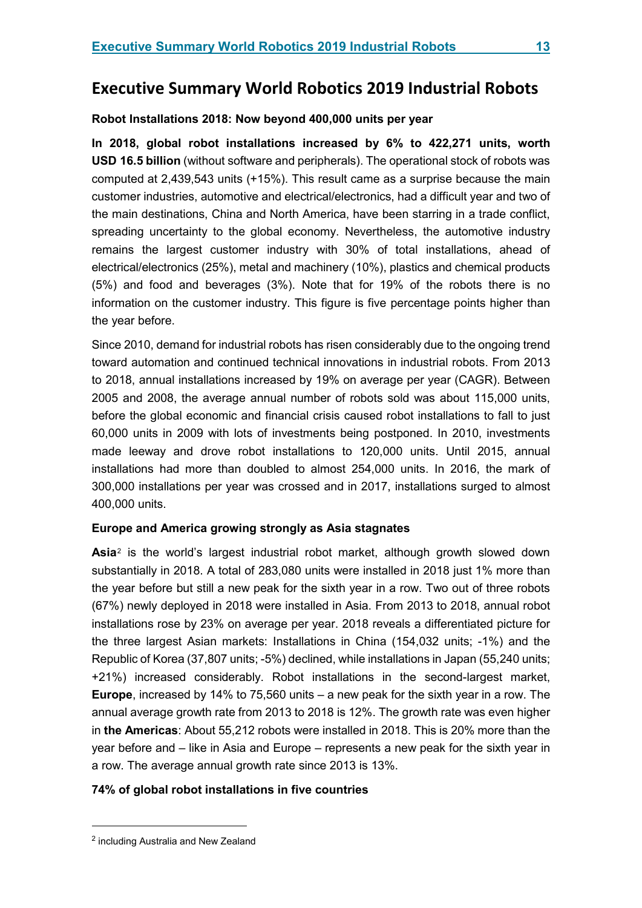# **Executive Summary World Robotics 2019 Industrial Robots**

## **Robot Installations 2018: Now beyond 400,000 units per year**

**In 2018, global robot installations increased by 6% to 422,271 units, worth USD 16.5 billion** (without software and peripherals). The operational stock of robots was computed at 2,439,543 units (+15%). This result came as a surprise because the main customer industries, automotive and electrical/electronics, had a difficult year and two of the main destinations, China and North America, have been starring in a trade conflict, spreading uncertainty to the global economy. Nevertheless, the automotive industry remains the largest customer industry with 30% of total installations, ahead of electrical/electronics (25%), metal and machinery (10%), plastics and chemical products (5%) and food and beverages (3%). Note that for 19% of the robots there is no information on the customer industry. This figure is five percentage points higher than the year before.

Since 2010, demand for industrial robots has risen considerably due to the ongoing trend toward automation and continued technical innovations in industrial robots. From 2013 to 2018, annual installations increased by 19% on average per year (CAGR). Between 2005 and 2008, the average annual number of robots sold was about 115,000 units, before the global economic and financial crisis caused robot installations to fall to just 60,000 units in 2009 with lots of investments being postponed. In 2010, investments made leeway and drove robot installations to 120,000 units. Until 2015, annual installations had more than doubled to almost 254,000 units. In 2016, the mark of 300,000 installations per year was crossed and in 2017, installations surged to almost 400,000 units.

## **Europe and America growing strongly as Asia stagnates**

**Asia**[2](#page-0-0) is the world's largest industrial robot market, although growth slowed down substantially in 2018. A total of 283,080 units were installed in 2018 just 1% more than the year before but still a new peak for the sixth year in a row. Two out of three robots (67%) newly deployed in 2018 were installed in Asia. From 2013 to 2018, annual robot installations rose by 23% on average per year. 2018 reveals a differentiated picture for the three largest Asian markets: Installations in China (154,032 units; -1%) and the Republic of Korea (37,807 units; -5%) declined, while installations in Japan (55,240 units; +21%) increased considerably. Robot installations in the second-largest market, **Europe**, increased by 14% to 75,560 units – a new peak for the sixth year in a row. The annual average growth rate from 2013 to 2018 is 12%. The growth rate was even higher in **the Americas**: About 55,212 robots were installed in 2018. This is 20% more than the year before and – like in Asia and Europe – represents a new peak for the sixth year in a row. The average annual growth rate since 2013 is 13%.

## **74% of global robot installations in five countries**

<u>.</u>

<span id="page-0-0"></span><sup>2</sup> including Australia and New Zealand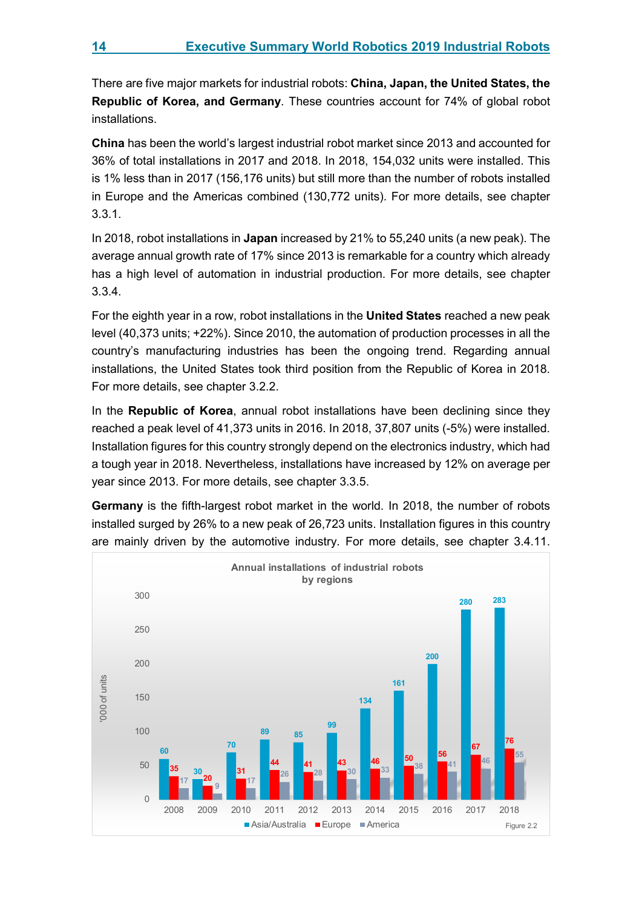There are five major markets for industrial robots: **China, Japan, the United States, the Republic of Korea, and Germany**. These countries account for 74% of global robot installations.

**China** has been the world's largest industrial robot market since 2013 and accounted for 36% of total installations in 2017 and 2018. In 2018, 154,032 units were installed. This is 1% less than in 2017 (156,176 units) but still more than the number of robots installed in Europe and the Americas combined (130,772 units). For more details, see chapter 3.3.1.

In 2018, robot installations in **Japan** increased by 21% to 55,240 units (a new peak). The average annual growth rate of 17% since 2013 is remarkable for a country which already has a high level of automation in industrial production. For more details, see chapter 3.3.4.

For the eighth year in a row, robot installations in the **United States** reached a new peak level (40,373 units; +22%). Since 2010, the automation of production processes in all the country's manufacturing industries has been the ongoing trend. Regarding annual installations, the United States took third position from the Republic of Korea in 2018. For more details, see chapter 3.2.2.

In the **Republic of Korea**, annual robot installations have been declining since they reached a peak level of 41,373 units in 2016. In 2018, 37,807 units (-5%) were installed. Installation figures for this country strongly depend on the electronics industry, which had a tough year in 2018. Nevertheless, installations have increased by 12% on average per year since 2013. For more details, see chapter 3.3.5.

**Germany** is the fifth-largest robot market in the world. In 2018, the number of robots installed surged by 26% to a new peak of 26,723 units. Installation figures in this country are mainly driven by the automotive industry. For more details, see chapter 3.4.11.

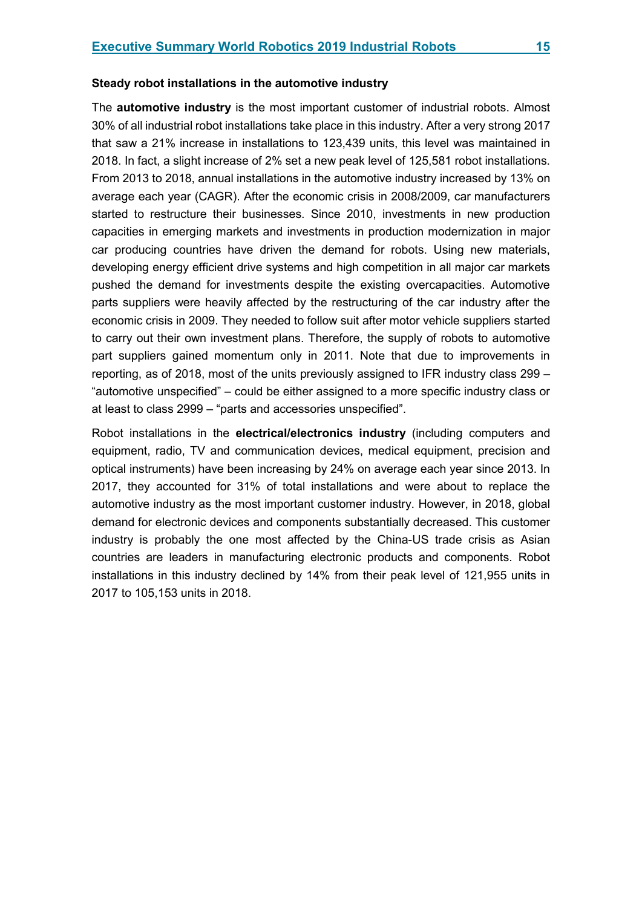The **automotive industry** is the most important customer of industrial robots. Almost 30% of all industrial robot installations take place in this industry. After a very strong 2017 that saw a 21% increase in installations to 123,439 units, this level was maintained in 2018. In fact, a slight increase of 2% set a new peak level of 125,581 robot installations. From 2013 to 2018, annual installations in the automotive industry increased by 13% on average each year (CAGR). After the economic crisis in 2008/2009, car manufacturers started to restructure their businesses. Since 2010, investments in new production capacities in emerging markets and investments in production modernization in major car producing countries have driven the demand for robots. Using new materials, developing energy efficient drive systems and high competition in all major car markets pushed the demand for investments despite the existing overcapacities. Automotive parts suppliers were heavily affected by the restructuring of the car industry after the economic crisis in 2009. They needed to follow suit after motor vehicle suppliers started to carry out their own investment plans. Therefore, the supply of robots to automotive part suppliers gained momentum only in 2011. Note that due to improvements in reporting, as of 2018, most of the units previously assigned to IFR industry class 299 – "automotive unspecified" – could be either assigned to a more specific industry class or at least to class 2999 – "parts and accessories unspecified".

Robot installations in the **electrical/electronics industry** (including computers and equipment, radio, TV and communication devices, medical equipment, precision and optical instruments) have been increasing by 24% on average each year since 2013. In 2017, they accounted for 31% of total installations and were about to replace the automotive industry as the most important customer industry. However, in 2018, global demand for electronic devices and components substantially decreased. This customer industry is probably the one most affected by the China-US trade crisis as Asian countries are leaders in manufacturing electronic products and components. Robot installations in this industry declined by 14% from their peak level of 121,955 units in 2017 to 105,153 units in 2018.